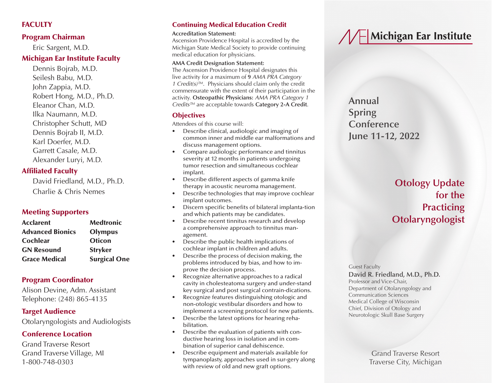# **FACULTY**

# Program Chairman

Eric Sargent, M.D.

## Michigan Ear Institute Faculty

Dennis Bojrab, M.D. Seilesh Babu, M.D. John Zappia, M.D. Robert Hong, M.D., Ph.D. Eleanor Chan, M.D. Ilka Naumann, M.D. Christopher Schutt, MD Dennis Bojrab II, M.D. Karl Doerfer, M.D. Garrett Casale, M.D. Alexander Luryi, M.D.

# Affiliated Faculty

David Friedland, M.D., Ph.D. Charlie & Chris Nemes

# Meeting Supporters

| <b>Acclarent</b>        | <b>Medtronic</b>    |
|-------------------------|---------------------|
| <b>Advanced Bionics</b> | <b>Olympus</b>      |
| <b>Cochlear</b>         | <b>Oticon</b>       |
| <b>GN Resound</b>       | <b>Stryker</b>      |
| <b>Grace Medical</b>    | <b>Surgical One</b> |

# Program Coordinator

Alison Devine, Adm. Assistant Telephone: (248) 865-4135

# Target Audience

Otolaryngologists and Audiologists

# Conference Location

Grand Traverse Resort Grand Traverse Village, MI 1-800-748-0303

# Continuing Medical Education Credit

#### **Accreditation Statement:**

Ascension Providence Hospital is accredited by the Michigan State Medical Society to provide continuing medical education for physicians.

#### **AMA Credit Designation Statement:**

The Ascension Providence Hospital designates this live activity for a maximum of **9** *AMA PRA Category 1 Credit(s)™*. Physicians should claim only the credit commensurate with the extent of their participation in the activity. **Osteopathic Physicians:** *AMA PRA Category 1 Credits™* are acceptable towards **Category 2-A Credit**.

# **Objectives**

Attendees of this course will:

- Describe clinical, audiologic and imaging of common inner and middle ear malformations and discuss management options.
- Compare audiologic performance and tinnitus severity at 12 months in patients undergoing tumor resection and simultaneous cochlear implant.
- Describe different aspects of gamma knife therapy in acoustic neuroma management.
- Describe technologies that may improve cochlear implant outcomes.
- Discern specific benefits of bilateral implanta-tion and which patients may be candidates.
- Describe recent tinnitus research and develop a comprehensive approach to tinnitus management.
- Describe the public health implications of cochlear implant in children and adults.
- Describe the process of decision making, the problems introduced by bias, and how to improve the decision process.
- Recognize alternative approaches to a radical cavity in cholesteatoma surgery and under-stand key surgical and post surgical contrain-dications.
- Recognize features distinguishing otologic and non-otologic vestibular disorders and how to implement a screening protocol for new patients.
- Describe the latest options for hearing rehabilitation.
- Describe the evaluation of patients with conductive hearing loss in isolation and in combination of superior canal dehiscence.
- Describe equipment and materials available for tympanoplasty, approaches used in sur-gery along with review of old and new graft options.

# **// F** Michigan Ear Institute

**Annual Spring Conference June 11-12, 2022**

> **Otology Update for the Practicing Otolaryngologist**

Guest Faculty

#### **David R. Friedland, M.D., Ph.D.**

Professor and Vice-Chair, Department of Otolaryngology and Communication Sciences Medical College of Wisconsin Chief, Division of Otology and Neurotologic Skull Base Surgery

> Grand Traverse Resort Traverse City, Michigan